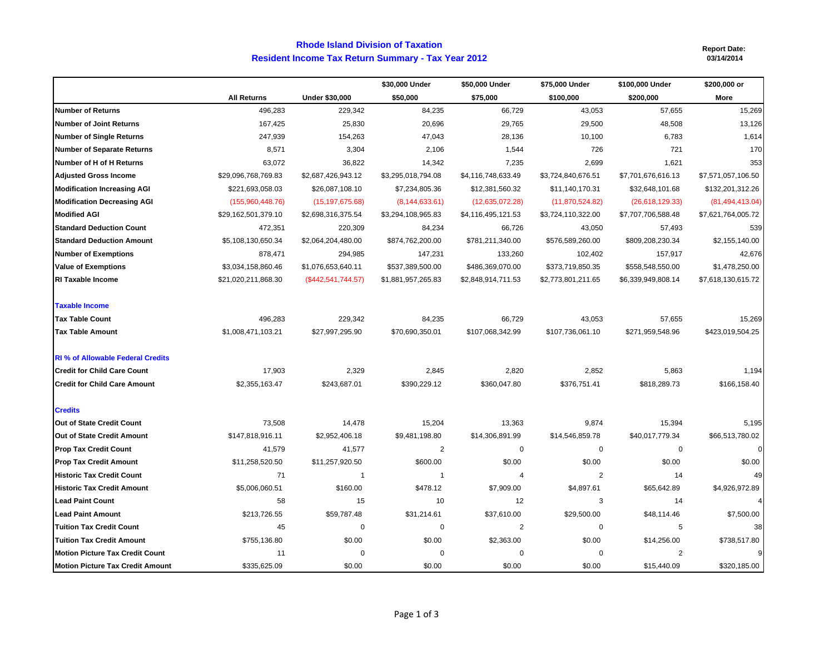## **Resident Income Tax Return Summary - Tax Year 2012 Rhode Island Division of Taxation**

**Report Date:**

|                                          |                     |                       | \$30,000 Under     | \$50,000 Under          | \$75,000 Under     | \$100,000 Under         | \$200,000 or       |
|------------------------------------------|---------------------|-----------------------|--------------------|-------------------------|--------------------|-------------------------|--------------------|
|                                          | <b>All Returns</b>  | <b>Under \$30,000</b> | \$50,000           | \$75,000                | \$100,000          | \$200,000               | More               |
| <b>Number of Returns</b>                 | 496,283             | 229,342               | 84,235             | 66,729                  | 43,053             | 57,655                  | 15,269             |
| <b>Number of Joint Returns</b>           | 167,425             | 25,830                | 20,696             | 29,765                  | 29,500             | 48,508                  | 13,126             |
| <b>Number of Single Returns</b>          | 247,939             | 154,263               | 47,043             | 28,136                  | 10,100             | 6,783                   | 1,614              |
| <b>Number of Separate Returns</b>        | 8,571               | 3,304                 | 2,106              | 1,544                   | 726                | 721                     | 170                |
| Number of H of H Returns                 | 63,072              | 36,822                | 14,342             | 7,235                   | 2,699              | 1,621                   | 353                |
| <b>Adjusted Gross Income</b>             | \$29,096,768,769.83 | \$2,687,426,943.12    | \$3,295,018,794.08 | \$4,116,748,633.49      | \$3,724,840,676.51 | \$7,701,676,616.13      | \$7,571,057,106.50 |
| <b>Modification Increasing AGI</b>       | \$221,693,058.03    | \$26,087,108.10       | \$7,234,805.36     | \$12,381,560.32         | \$11,140,170.31    | \$32,648,101.68         | \$132,201,312.26   |
| <b>Modification Decreasing AGI</b>       | (155,960,448.76)    | (15, 197, 675.68)     | (8, 144, 633.61)   | (12,635,072.28)         | (11,870,524.82)    | (26, 618, 129.33)       | (81, 494, 413.04)  |
| <b>Modified AGI</b>                      | \$29,162,501,379.10 | \$2,698,316,375.54    | \$3,294,108,965.83 | \$4,116,495,121.53      | \$3,724,110,322.00 | \$7,707,706,588.48      | \$7,621,764,005.72 |
| <b>Standard Deduction Count</b>          | 472,351             | 220,309               | 84,234             | 66,726                  | 43,050             | 57,493                  | 539                |
| <b>Standard Deduction Amount</b>         | \$5,108,130,650.34  | \$2,064,204,480.00    | \$874,762,200.00   | \$781,211,340.00        | \$576,589,260.00   | \$809,208,230.34        | \$2,155,140.00     |
| <b>Number of Exemptions</b>              | 878,471             | 294,985               | 147,231            | 133,260                 | 102,402            | 157,917                 | 42,676             |
| <b>Value of Exemptions</b>               | \$3,034,158,860.46  | \$1,076,653,640.11    | \$537,389,500.00   | \$486,369,070.00        | \$373,719,850.35   | \$558,548,550.00        | \$1,478,250.00     |
| <b>RI Taxable Income</b>                 | \$21,020,211,868.30 | $(\$442,541,744.57)$  | \$1,881,957,265.83 | \$2,848,914,711.53      | \$2,773,801,211.65 | \$6,339,949,808.14      | \$7,618,130,615.72 |
| <b>Taxable Income</b>                    |                     |                       |                    |                         |                    |                         |                    |
| <b>Tax Table Count</b>                   | 496,283             | 229,342               | 84,235             | 66,729                  | 43,053             | 57,655                  | 15,269             |
| <b>Tax Table Amount</b>                  | \$1,008,471,103.21  | \$27,997,295.90       | \$70,690,350.01    | \$107,068,342.99        | \$107,736,061.10   | \$271,959,548.96        | \$423,019,504.25   |
| <b>RI % of Allowable Federal Credits</b> |                     |                       |                    |                         |                    |                         |                    |
| <b>Credit for Child Care Count</b>       | 17,903              | 2,329                 | 2,845              | 2,820                   | 2,852              | 5,863                   | 1,194              |
| <b>Credit for Child Care Amount</b>      | \$2,355,163.47      | \$243,687.01          | \$390,229.12       | \$360,047.80            | \$376,751.41       | \$818,289.73            | \$166,158.40       |
| <b>Credits</b>                           |                     |                       |                    |                         |                    |                         |                    |
| Out of State Credit Count                | 73,508              | 14,478                | 15,204             | 13,363                  | 9,874              | 15,394                  | 5,195              |
| Out of State Credit Amount               | \$147,818,916.11    | \$2,952,406.18        | \$9,481,198.80     | \$14,306,891.99         | \$14,546,859.78    | \$40,017,779.34         | \$66,513,780.02    |
| <b>Prop Tax Credit Count</b>             | 41,579              | 41,577                | $\overline{c}$     | 0                       | $\mathbf 0$        | 0                       | $\overline{0}$     |
| <b>Prop Tax Credit Amount</b>            | \$11,258,520.50     | \$11,257,920.50       | \$600.00           | \$0.00                  | \$0.00             | \$0.00                  | \$0.00             |
| <b>Historic Tax Credit Count</b>         | 71                  | -1                    | $\mathbf 1$        | $\overline{4}$          | $\overline{2}$     | 14                      | 49                 |
| <b>Historic Tax Credit Amount</b>        | \$5,006,060.51      | \$160.00              | \$478.12           | \$7,909.00              | \$4,897.61         | \$65,642.89             | \$4,926,972.89     |
| <b>Lead Paint Count</b>                  | 58                  | 15                    | 10                 | 12                      | 3                  | 14                      |                    |
| <b>Lead Paint Amount</b>                 | \$213,726.55        | \$59,787.48           | \$31,214.61        | \$37,610.00             | \$29,500.00        | \$48,114.46             | \$7,500.00         |
| <b>Tuition Tax Credit Count</b>          | 45                  | $\mathbf 0$           | 0                  | $\overline{\mathbf{c}}$ | $\mathbf 0$        | 5                       | 38                 |
| <b>Tuition Tax Credit Amount</b>         | \$755,136.80        | \$0.00                | \$0.00             | \$2,363.00              | \$0.00             | \$14,256.00             | \$738,517.80       |
| <b>Motion Picture Tax Credit Count</b>   | 11                  | $\mathbf 0$           | 0                  | $\mathbf 0$             | $\mathbf 0$        | $\overline{\mathbf{c}}$ | 9 <sub>l</sub>     |
| <b>Motion Picture Tax Credit Amount</b>  | \$335,625.09        | \$0.00                | \$0.00             | \$0.00                  | \$0.00             | \$15,440.09             | \$320,185.00       |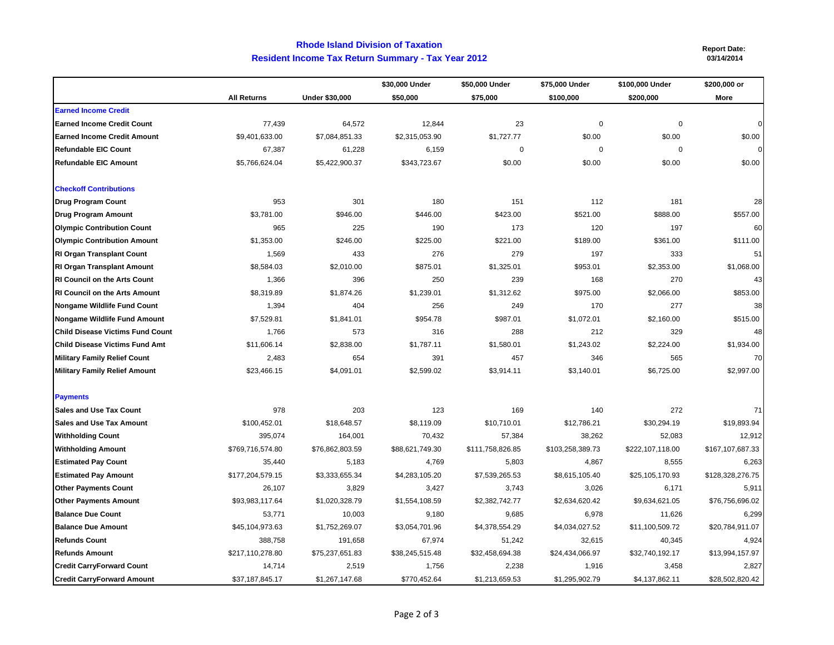## **Resident Income Tax Return Summary - Tax Year 2012 Rhode Island Division of Taxation**

 **Report Date: 03/14/2014**

|                                         |                    |                       | \$30,000 Under  | \$50,000 Under   | \$75,000 Under   | \$100,000 Under  | \$200,000 or     |
|-----------------------------------------|--------------------|-----------------------|-----------------|------------------|------------------|------------------|------------------|
|                                         | <b>All Returns</b> | <b>Under \$30,000</b> | \$50,000        | \$75,000         | \$100,000        | \$200,000        | More             |
| <b>Earned Income Credit</b>             |                    |                       |                 |                  |                  |                  |                  |
| <b>Earned Income Credit Count</b>       | 77,439             | 64,572                | 12,844          | 23               | $\mathbf 0$      | 0                | $\Omega$         |
| <b>Earned Income Credit Amount</b>      | \$9,401,633.00     | \$7,084,851.33        | \$2,315,053.90  | \$1,727.77       | \$0.00           | \$0.00           | \$0.00           |
| <b>Refundable EIC Count</b>             | 67,387             | 61,228                | 6,159           | $\mathbf 0$      | $\mathbf 0$      | $\mathbf 0$      | $\Omega$         |
| <b>Refundable EIC Amount</b>            | \$5,766,624.04     | \$5,422,900.37        | \$343,723.67    | \$0.00           | \$0.00           | \$0.00           | \$0.00           |
| <b>Checkoff Contributions</b>           |                    |                       |                 |                  |                  |                  |                  |
| <b>Drug Program Count</b>               | 953                | 301                   | 180             | 151              | 112              | 181              | 28               |
| Drug Program Amount                     | \$3,781.00         | \$946.00              | \$446.00        | \$423.00         | \$521.00         | \$888.00         | \$557.00         |
| <b>Olympic Contribution Count</b>       | 965                | 225                   | 190             | 173              | 120              | 197              | 60               |
| <b>Olympic Contribution Amount</b>      | \$1,353.00         | \$246.00              | \$225.00        | \$221.00         | \$189.00         | \$361.00         | \$111.00         |
| <b>RI Organ Transplant Count</b>        | 1,569              | 433                   | 276             | 279              | 197              | 333              | 51               |
| <b>RI Organ Transplant Amount</b>       | \$8,584.03         | \$2,010.00            | \$875.01        | \$1,325.01       | \$953.01         | \$2,353.00       | \$1,068.00       |
| <b>RI Council on the Arts Count</b>     | 1,366              | 396                   | 250             | 239              | 168              | 270              | 43               |
| <b>RI Council on the Arts Amount</b>    | \$8,319.89         | \$1,874.26            | \$1,239.01      | \$1,312.62       | \$975.00         | \$2,066.00       | \$853.00         |
| <b>Nongame Wildlife Fund Count</b>      | 1,394              | 404                   | 256             | 249              | 170              | 277              | 38               |
| <b>Nongame Wildlife Fund Amount</b>     | \$7,529.81         | \$1,841.01            | \$954.78        | \$987.01         | \$1,072.01       | \$2,160.00       | \$515.00         |
| <b>Child Disease Victims Fund Count</b> | 1,766              | 573                   | 316             | 288              | 212              | 329              | 48               |
| <b>Child Disease Victims Fund Amt</b>   | \$11,606.14        | \$2,838.00            | \$1,787.11      | \$1,580.01       | \$1,243.02       | \$2,224.00       | \$1,934.00       |
| <b>Military Family Relief Count</b>     | 2,483              | 654                   | 391             | 457              | 346              | 565              | 70               |
| <b>Military Family Relief Amount</b>    | \$23,466.15        | \$4,091.01            | \$2,599.02      | \$3,914.11       | \$3,140.01       | \$6,725.00       | \$2,997.00       |
| <b>Payments</b>                         |                    |                       |                 |                  |                  |                  |                  |
| <b>Sales and Use Tax Count</b>          | 978                | 203                   | 123             | 169              | 140              | 272              | 71               |
| <b>Sales and Use Tax Amount</b>         | \$100,452.01       | \$18,648.57           | \$8,119.09      | \$10,710.01      | \$12,786.21      | \$30,294.19      | \$19,893.94      |
| <b>Withholding Count</b>                | 395,074            | 164,001               | 70,432          | 57,384           | 38,262           | 52,083           | 12,912           |
| <b>Withholding Amount</b>               | \$769,716,574.80   | \$76,862,803.59       | \$88,621,749.30 | \$111,758,826.85 | \$103,258,389.73 | \$222,107,118.00 | \$167,107,687.33 |
| <b>Estimated Pay Count</b>              | 35,440             | 5,183                 | 4,769           | 5,803            | 4,867            | 8,555            | 6,263            |
| <b>Estimated Pay Amount</b>             | \$177,204,579.15   | \$3,333,655.34        | \$4,283,105.20  | \$7,539,265.53   | \$8,615,105.40   | \$25,105,170.93  | \$128,328,276.75 |
| <b>Other Payments Count</b>             | 26,107             | 3,829                 | 3,427           | 3,743            | 3,026            | 6,171            | 5,911            |
| <b>Other Payments Amount</b>            | \$93,983,117.64    | \$1,020,328.79        | \$1,554,108.59  | \$2,382,742.77   | \$2,634,620.42   | \$9,634,621.05   | \$76,756,696.02  |
| <b>Balance Due Count</b>                | 53,771             | 10,003                | 9,180           | 9,685            | 6,978            | 11,626           | 6,299            |
| <b>Balance Due Amount</b>               | \$45,104,973.63    | \$1,752,269.07        | \$3,054,701.96  | \$4,378,554.29   | \$4,034,027.52   | \$11,100,509.72  | \$20,784,911.07  |
| <b>Refunds Count</b>                    | 388,758            | 191,658               | 67,974          | 51,242           | 32,615           | 40,345           | 4,924            |
| <b>Refunds Amount</b>                   | \$217,110,278.80   | \$75,237,651.83       | \$38,245,515.48 | \$32,458,694.38  | \$24,434,066.97  | \$32,740,192.17  | \$13,994,157.97  |
| <b>Credit CarryForward Count</b>        | 14,714             | 2,519                 | 1,756           | 2,238            | 1,916            | 3,458            | 2,827            |
| <b>Credit CarryForward Amount</b>       | \$37,187,845.17    | \$1,267,147.68        | \$770,452.64    | \$1,213,659.53   | \$1,295,902.79   | \$4,137,862.11   | \$28,502,820.42  |